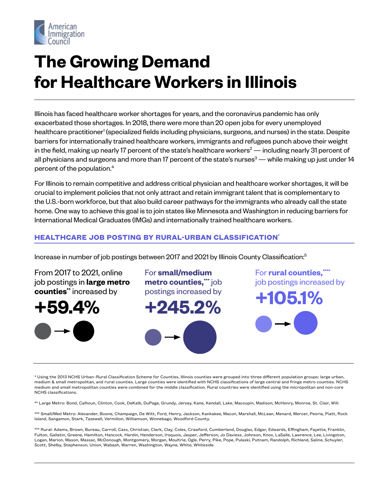

# **The Growing Demand for Healthcare Workers in Illinois**

Illinois has faced healthcare worker shortages for years, and the coronavirus pandemic has only exacerbated those shortages. In 2018, there were more than 20 open jobs for every unemployed healthcare practitioner<sup>1</sup> (specialized fields including physicians, surgeons, and nurses) in the state. Despite barriers for internationally trained healthcare workers, immigrants and refugees punch above their weight in the field, making up nearly 17 percent of the state's healthcare workers $^2$  — including nearly 31 percent of all physicians and surgeons and more than 17 percent of the state's nurses $^3$  — while making up just under 14 percent of the population.4

For Illinois to remain competitive and address critical physician and healthcare worker shortages, it will be crucial to implement policies that not only attract and retain immigrant talent that is complementary to the U.S.-born workforce, but that also build career pathways for the immigrants who already call the state home. One way to achieve this goal is to join states like Minnesota and Washington in reducing barriers for International Medical Graduates (IMGs) and internationally trained healthcare workers.

## **HEALTHCARE JOB POSTING BY RURAL-URBAN CLASSIFICATION\***

Increase in number of job postings between 2017 and 2021 by Illinois County Classification:<sup>5</sup>

From 2017 to 2021, online job postings in **large metro counties\*\*** increased by

**+59.4%**



For **small/medium metro counties,**  $\ddot{\hspace{0.1cm}}$  job postings increased by

**+245.2%**

For **rural counties,\*\*\*\*** job postings increased by

**+105.1%**

\* Using the 2013 NCHS Urban–Rural Classification Scheme for Counties, Illinois counties were grouped into three different population groups: large urban, medium & small metropolitan, and rural counties. Large counties were identified with NCHS classifications of large central and fringe metro counties. NCHS medium and small metropolitan counties were combined for the middle classification. Rural countries were identified using the micropolitan and non-core NCHS classifications.

\*\* Large Metro: Bond, Calhoun, Clinton, Cook, DeKalb, DuPage, Grundy, Jersey, Kane, Kendall, Lake, Macoupin, Madison, McHenry, Monroe, St. Clair, Will.

\*\*\* Small/Med Metro: Alexander, Boone, Champaign, De Witt, Ford, Henry, Jackson, Kankakee, Macon, Marshall, McLean, Menard, Mercer, Peoria, Piatt, Rock Island, Sangamon, Stark, Tazewell, Vermilion, Williamson, Winnebago, Woodford County.

\*\*\* Rural: Adams, Brown, Bureau, Carroll, Cass, Christian, Clark, Clay, Coles, Crawford, Cumberland, Douglas, Edgar, Edwards, Effingham, Fayette, Franklin, Fulton, Gallatin, Greene, Hamilton, Hancock, Hardin, Henderson, Iroquois, Jasper, Jefferson, Jo Daviess, Johnson, Knox, LaSalle, Lawrence, Lee, Livingston, Logan, Marion, Mason, Massac, McDonough, Montgomery, Morgan, Moultrie, Ogle, Perry, Pike, Pope, Pulaski, Putnam, Randolph, Richland, Saline, Schuyler, Scott, Shelby, Stephenson, Union, Wabash, Warren, Washington, Wayne, White, Whiteside.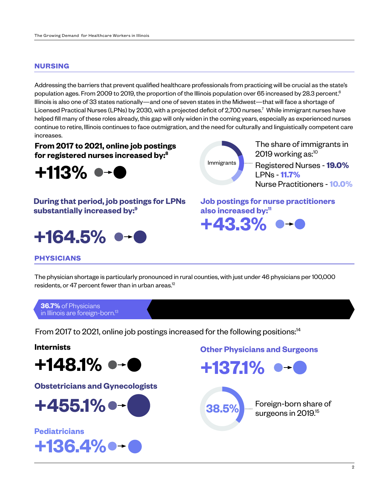### **NURSING**

Addressing the barriers that prevent qualified healthcare professionals from practicing will be crucial as the state's population ages. From 2009 to 2019, the proportion of the Illinois population over 65 increased by 28.3 percent.<sup>6</sup> Illinois is also one of 33 states nationally—and one of seven states in the Midwest—that will face a shortage of Licensed Practical Nurses (LPNs) by 2030, with a projected deficit of 2,700 nurses.<sup>7</sup> While immigrant nurses have helped fill many of these roles already, this gap will only widen in the coming years, especially as experienced nurses continue to retire, Illinois continues to face outmigration, and the need for culturally and linguistically competent care increases.

**From 2017 to 2021, online job postings for registered nurses increased by:8**



**During that period, job postings for LPNs substantially increased by:9**





The share of immigrants in 2019 working as:<sup>10</sup>

Registered Nurses - **19.0%** LPNs - **11.7%** Nurse Practitioners - **10.0%**

**Job postings for nurse practitioners also increased by:11**



# **PHYSICIANS**

The physician shortage is particularly pronounced in rural counties, with just under 46 physicians per 100,000 residents, or 47 percent fewer than in urban areas. $^{12}$